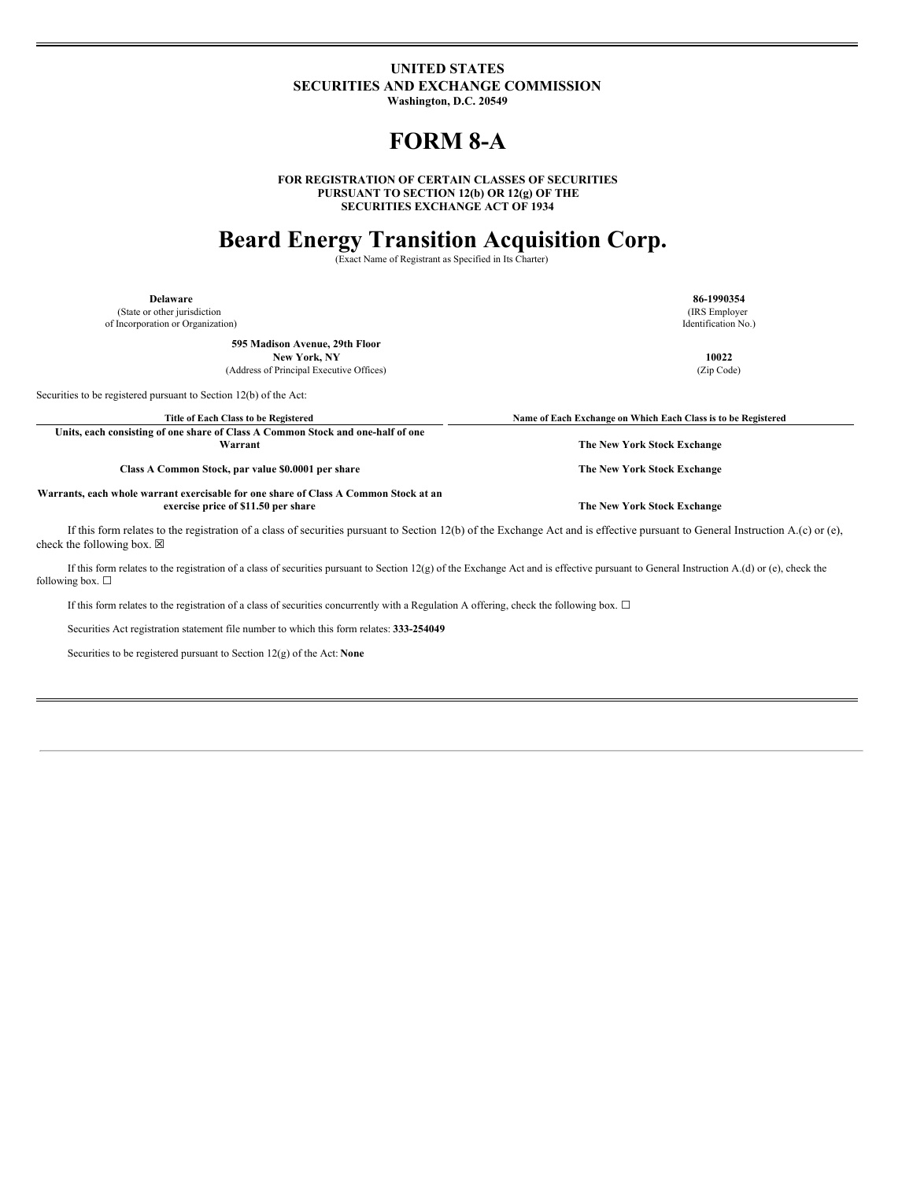### **UNITED STATES SECURITIES AND EXCHANGE COMMISSION**

**Washington, D.C. 20549**

## **FORM 8-A**

**FOR REGISTRATION OF CERTAIN CLASSES OF SECURITIES PURSUANT TO SECTION 12(b) OR 12(g) OF THE SECURITIES EXCHANGE ACT OF 1934**

# **Beard Energy Transition Acquisition Corp.**

(Exact Name of Registrant as Specified in Its Charter)

(State or other jurisdiction of Incorporation or Organization)

**595 Madison Avenue, 29th Floor**

(Address of Principal Executive Offices) (Zip Code)

Securities to be registered pursuant to Section 12(b) of the Act:

Title of Each Class to be Registered **Server Access 2008** Name of Each Exchange on Which Each Class is to be Registered

**Units, each consisting of one share of Class A Common Stock and one-half of one Warrant The New York Stock Exchange**

**Class A Common Stock, par value \$0.0001 per share The New York Stock Exchange**

**Warrants, each whole warrant exercisable for one share of Class A Common Stock at an exercise price of \$11.50 per share The New York Stock Exchange**

If this form relates to the registration of a class of securities pursuant to Section 12(b) of the Exchange Act and is effective pursuant to General Instruction A.(c) or (e), check the following box.  $\boxtimes$ 

If this form relates to the registration of a class of securities pursuant to Section 12(g) of the Exchange Act and is effective pursuant to General Instruction A.(d) or (e), check the following box.  $\square$ 

If this form relates to the registration of a class of securities concurrently with a Regulation A offering, check the following box. ☐

Securities Act registration statement file number to which this form relates: **333-254049**

Securities to be registered pursuant to Section 12(g) of the Act: **None**

**Delaware 86-1990354** (IRS Employer

Identification No.)

**New York, NY 10022**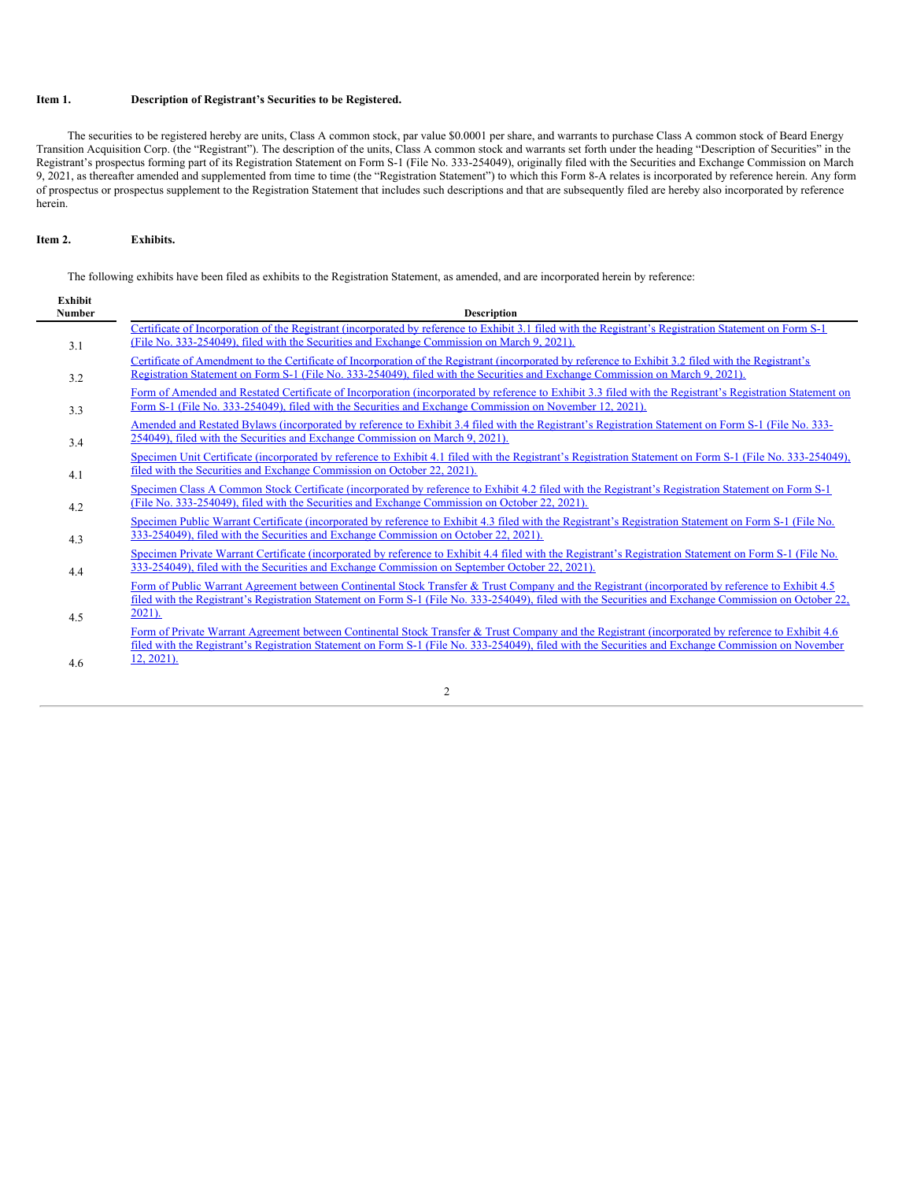#### **Item 1. Description of Registrant's Securities to be Registered.**

The securities to be registered hereby are units, Class A common stock, par value \$0.0001 per share, and warrants to purchase Class A common stock of Beard Energy Transition Acquisition Corp. (the "Registrant"). The description of the units, Class A common stock and warrants set forth under the heading "Description of Securities" in the Registrant's prospectus forming part of its Registration Statement on Form S-1 (File No. 333-254049), originally filed with the Securities and Exchange Commission on March 9, 2021, as thereafter amended and supplemented from time to time (the "Registration Statement") to which this Form 8-A relates is incorporated by reference herein. Any form of prospectus or prospectus supplement to the Registration Statement that includes such descriptions and that are subsequently filed are hereby also incorporated by reference herein.

#### **Item 2. Exhibits.**

The following exhibits have been filed as exhibits to the Registration Statement, as amended, and are incorporated herein by reference:

| <b>Exhibit</b><br><b>Number</b> | <b>Description</b>                                                                                                                                                                                                                                                                                         |  |
|---------------------------------|------------------------------------------------------------------------------------------------------------------------------------------------------------------------------------------------------------------------------------------------------------------------------------------------------------|--|
| 3.1                             | Certificate of Incorporation of the Registrant (incorporated by reference to Exhibit 3.1 filed with the Registrant's Registration Statement on Form S-1<br>(File No. 333-254049), filed with the Securities and Exchange Commission on March 9, 2021).                                                     |  |
| 3.2                             | Certificate of Amendment to the Certificate of Incorporation of the Registrant (incorporated by reference to Exhibit 3.2 filed with the Registrant's<br>Registration Statement on Form S-1 (File No. 333-254049), filed with the Securities and Exchange Commission on March 9, 2021).                     |  |
| 3.3                             | Form of Amended and Restated Certificate of Incorporation (incorporated by reference to Exhibit 3.3 filed with the Registrant's Registration Statement on<br>Form S-1 (File No. 333-254049), filed with the Securities and Exchange Commission on November 12, 2021).                                      |  |
| 3.4                             | Amended and Restated Bylaws (incorporated by reference to Exhibit 3.4 filed with the Registrant's Registration Statement on Form S-1 (File No. 333-<br>254049), filed with the Securities and Exchange Commission on March 9, 2021).                                                                       |  |
| 4.1                             | Specimen Unit Certificate (incorporated by reference to Exhibit 4.1 filed with the Registrant's Registration Statement on Form S-1 (File No. 333-254049),<br>filed with the Securities and Exchange Commission on October 22, 2021).                                                                       |  |
| 4.2                             | Specimen Class A Common Stock Certificate (incorporated by reference to Exhibit 4.2 filed with the Registrant's Registration Statement on Form S-1<br>(File No. 333-254049), filed with the Securities and Exchange Commission on October 22, 2021).                                                       |  |
| 4.3                             | Specimen Public Warrant Certificate (incorporated by reference to Exhibit 4.3 filed with the Registrant's Registration Statement on Form S-1 (File No.<br>333-254049), filed with the Securities and Exchange Commission on October 22, 2021).                                                             |  |
| 4.4                             | Specimen Private Warrant Certificate (incorporated by reference to Exhibit 4.4 filed with the Registrant's Registration Statement on Form S-1 (File No.<br>333-254049), filed with the Securities and Exchange Commission on September October 22, 2021).                                                  |  |
|                                 | Form of Public Warrant Agreement between Continental Stock Transfer & Trust Company and the Registrant (incorporated by reference to Exhibit 4.5<br>filed with the Registrant's Registration Statement on Form S-1 (File No. 333-254049), filed with the Securities and Exchange Commission on October 22, |  |
| 4.5                             | $2021$ ).<br>Form of Private Warrant Agreement between Continental Stock Transfer & Trust Company and the Registrant (incorporated by reference to Exhibit 4.6                                                                                                                                             |  |
| 4.6                             | filed with the Registrant's Registration Statement on Form S-1 (File No. 333-254049), filed with the Securities and Exchange Commission on November<br>$12, 2021$ ).                                                                                                                                       |  |

2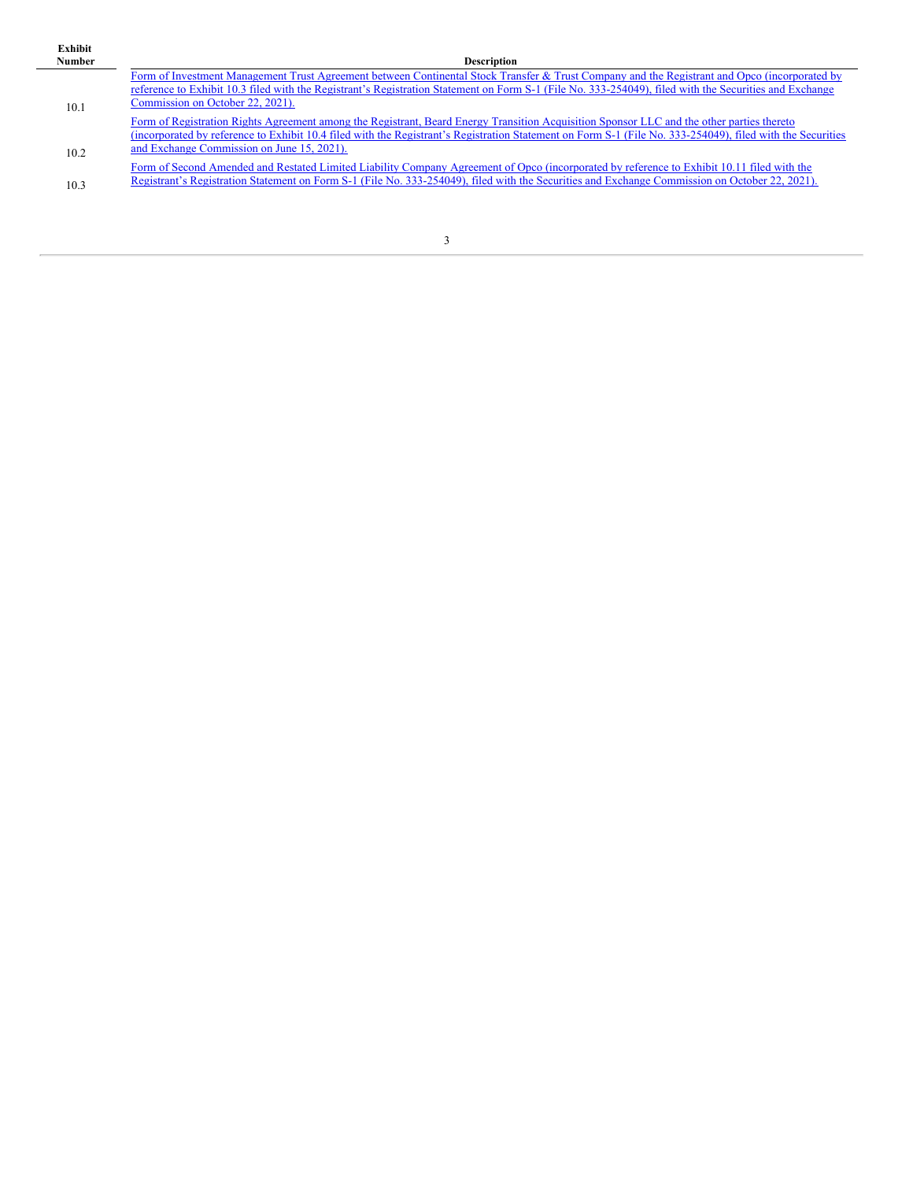| ۰.<br>om, |
|-----------|
|           |

| <b>Number</b> | <b>Description</b>                                                                                                                                         |
|---------------|------------------------------------------------------------------------------------------------------------------------------------------------------------|
|               | Form of Investment Management Trust Agreement between Continental Stock Transfer & Trust Company and the Registrant and Opco (incorporated by              |
|               | reference to Exhibit 10.3 filed with the Registrant's Registration Statement on Form S-1 (File No. 333-254049), filed with the Securities and Exchange     |
| 10.1          | Commission on October 22, 2021).                                                                                                                           |
|               | Form of Registration Rights Agreement among the Registrant, Beard Energy Transition Acquisition Sponsor LLC and the other parties thereto                  |
|               | (incorporated by reference to Exhibit 10.4 filed with the Registrant's Registration Statement on Form S-1 (File No. 333-254049), filed with the Securities |
| 10.2          | and Exchange Commission on June 15, 2021).                                                                                                                 |
|               | Form of Second Amended and Restated Limited Liability Company Agreement of Opco (incorporated by reference to Exhibit 10.11 filed with the                 |
| 10.3          | Registrant's Registration Statement on Form S-1 (File No. 333-254049), filed with the Securities and Exchange Commission on October 22, 2021).             |
|               |                                                                                                                                                            |